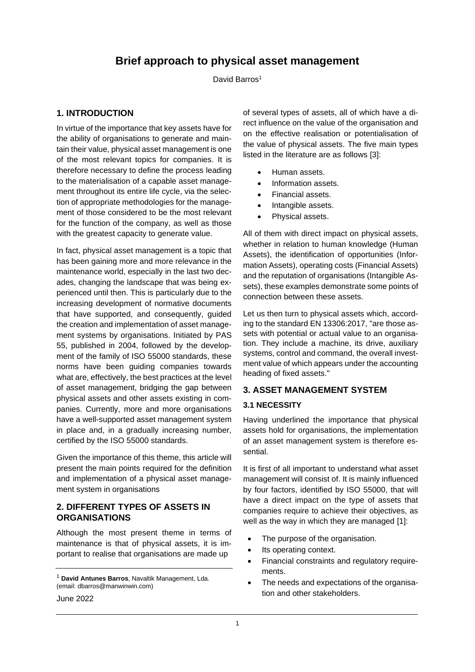# **Brief approach to physical asset management**

David Barros<sup>1</sup>

## **1. INTRODUCTION**

In virtue of the importance that key assets have for the ability of organisations to generate and maintain their value, physical asset management is one of the most relevant topics for companies. It is therefore necessary to define the process leading to the materialisation of a capable asset management throughout its entire life cycle, via the selection of appropriate methodologies for the management of those considered to be the most relevant for the function of the company, as well as those with the greatest capacity to generate value.

In fact, physical asset management is a topic that has been gaining more and more relevance in the maintenance world, especially in the last two decades, changing the landscape that was being experienced until then. This is particularly due to the increasing development of normative documents that have supported, and consequently, guided the creation and implementation of asset management systems by organisations. Initiated by PAS 55, published in 2004, followed by the development of the family of ISO 55000 standards, these norms have been guiding companies towards what are, effectively, the best practices at the level of asset management, bridging the gap between physical assets and other assets existing in companies. Currently, more and more organisations have a well-supported asset management system in place and, in a gradually increasing number, certified by the ISO 55000 standards.

Given the importance of this theme, this article will present the main points required for the definition and implementation of a physical asset management system in organisations

#### **2. DIFFERENT TYPES OF ASSETS IN ORGANISATIONS**

Although the most present theme in terms of maintenance is that of physical assets, it is important to realise that organisations are made up

of several types of assets, all of which have a direct influence on the value of the organisation and on the effective realisation or potentialisation of the value of physical assets. The five main types listed in the literature are as follows [3]:

- Human assets.
- Information assets.
- Financial assets.
- Intangible assets.
- Physical assets.

All of them with direct impact on physical assets, whether in relation to human knowledge (Human Assets), the identification of opportunities (Information Assets), operating costs (Financial Assets) and the reputation of organisations (Intangible Assets), these examples demonstrate some points of connection between these assets.

Let us then turn to physical assets which, according to the standard EN 13306:2017, ''are those assets with potential or actual value to an organisation. They include a machine, its drive, auxiliary systems, control and command, the overall investment value of which appears under the accounting heading of fixed assets.''

## **3. ASSET MANAGEMENT SYSTEM**

#### **3.1 NECESSITY**

Having underlined the importance that physical assets hold for organisations, the implementation of an asset management system is therefore essential.

It is first of all important to understand what asset management will consist of. It is mainly influenced by four factors, identified by ISO 55000, that will have a direct impact on the type of assets that companies require to achieve their objectives, as well as the way in which they are managed [1]:

- The purpose of the organisation.
- Its operating context.
- Financial constraints and regulatory requirements.
- The needs and expectations of the organisation and other stakeholders.

June 2022

<sup>1</sup> **David Antunes Barros**, Navaltik Management, Lda. (email: dbarros@manwinwin.com)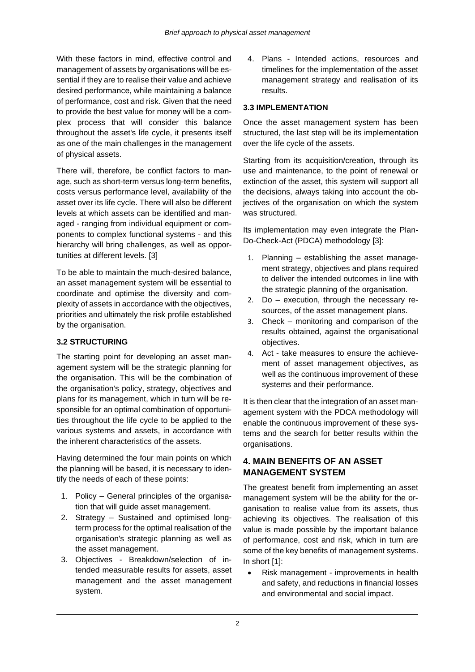With these factors in mind, effective control and management of assets by organisations will be essential if they are to realise their value and achieve desired performance, while maintaining a balance of performance, cost and risk. Given that the need to provide the best value for money will be a complex process that will consider this balance throughout the asset's life cycle, it presents itself as one of the main challenges in the management of physical assets.

There will, therefore, be conflict factors to manage, such as short-term versus long-term benefits, costs versus performance level, availability of the asset over its life cycle. There will also be different levels at which assets can be identified and managed - ranging from individual equipment or components to complex functional systems - and this hierarchy will bring challenges, as well as opportunities at different levels. [3]

To be able to maintain the much-desired balance, an asset management system will be essential to coordinate and optimise the diversity and complexity of assets in accordance with the objectives, priorities and ultimately the risk profile established by the organisation.

## **3.2 STRUCTURING**

The starting point for developing an asset management system will be the strategic planning for the organisation. This will be the combination of the organisation's policy, strategy, objectives and plans for its management, which in turn will be responsible for an optimal combination of opportunities throughout the life cycle to be applied to the various systems and assets, in accordance with the inherent characteristics of the assets.

Having determined the four main points on which the planning will be based, it is necessary to identify the needs of each of these points:

- 1. Policy General principles of the organisation that will guide asset management.
- 2. Strategy Sustained and optimised longterm process for the optimal realisation of the organisation's strategic planning as well as the asset management.
- 3. Objectives Breakdown/selection of intended measurable results for assets, asset management and the asset management system.

4. Plans - Intended actions, resources and timelines for the implementation of the asset management strategy and realisation of its results.

## **3.3 IMPLEMENTATION**

Once the asset management system has been structured, the last step will be its implementation over the life cycle of the assets.

Starting from its acquisition/creation, through its use and maintenance, to the point of renewal or extinction of the asset, this system will support all the decisions, always taking into account the objectives of the organisation on which the system was structured.

Its implementation may even integrate the Plan-Do-Check-Act (PDCA) methodology [3]:

- 1. Planning establishing the asset management strategy, objectives and plans required to deliver the intended outcomes in line with the strategic planning of the organisation.
- 2. Do execution, through the necessary resources, of the asset management plans.
- 3. Check monitoring and comparison of the results obtained, against the organisational objectives.
- 4. Act take measures to ensure the achievement of asset management objectives, as well as the continuous improvement of these systems and their performance.

It is then clear that the integration of an asset management system with the PDCA methodology will enable the continuous improvement of these systems and the search for better results within the organisations.

# **4. MAIN BENEFITS OF AN ASSET MANAGEMENT SYSTEM**

The greatest benefit from implementing an asset management system will be the ability for the organisation to realise value from its assets, thus achieving its objectives. The realisation of this value is made possible by the important balance of performance, cost and risk, which in turn are some of the key benefits of management systems. In short [1]:

• Risk management - improvements in health and safety, and reductions in financial losses and environmental and social impact.